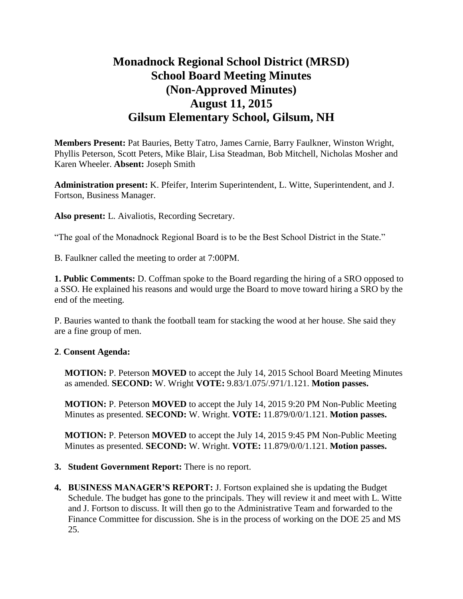# **Monadnock Regional School District (MRSD) School Board Meeting Minutes (Non-Approved Minutes) August 11, 2015 Gilsum Elementary School, Gilsum, NH**

**Members Present:** Pat Bauries, Betty Tatro, James Carnie, Barry Faulkner, Winston Wright, Phyllis Peterson, Scott Peters, Mike Blair, Lisa Steadman, Bob Mitchell, Nicholas Mosher and Karen Wheeler. **Absent:** Joseph Smith

**Administration present:** K. Pfeifer, Interim Superintendent, L. Witte, Superintendent, and J. Fortson, Business Manager.

**Also present:** L. Aivaliotis, Recording Secretary.

"The goal of the Monadnock Regional Board is to be the Best School District in the State."

B. Faulkner called the meeting to order at 7:00PM.

**1. Public Comments:** D. Coffman spoke to the Board regarding the hiring of a SRO opposed to a SSO. He explained his reasons and would urge the Board to move toward hiring a SRO by the end of the meeting.

P. Bauries wanted to thank the football team for stacking the wood at her house. She said they are a fine group of men.

### **2**. **Consent Agenda:**

**MOTION:** P. Peterson **MOVED** to accept the July 14, 2015 School Board Meeting Minutes as amended. **SECOND:** W. Wright **VOTE:** 9.83/1.075/.971/1.121. **Motion passes.** 

**MOTION:** P. Peterson **MOVED** to accept the July 14, 2015 9:20 PM Non-Public Meeting Minutes as presented. **SECOND:** W. Wright. **VOTE:** 11.879/0/0/1.121. **Motion passes.** 

**MOTION:** P. Peterson **MOVED** to accept the July 14, 2015 9:45 PM Non-Public Meeting Minutes as presented. **SECOND:** W. Wright. **VOTE:** 11.879/0/0/1.121. **Motion passes.** 

- **3. Student Government Report:** There is no report.
- **4. BUSINESS MANAGER'S REPORT:** J. Fortson explained she is updating the Budget Schedule. The budget has gone to the principals. They will review it and meet with L. Witte and J. Fortson to discuss. It will then go to the Administrative Team and forwarded to the Finance Committee for discussion. She is in the process of working on the DOE 25 and MS 25.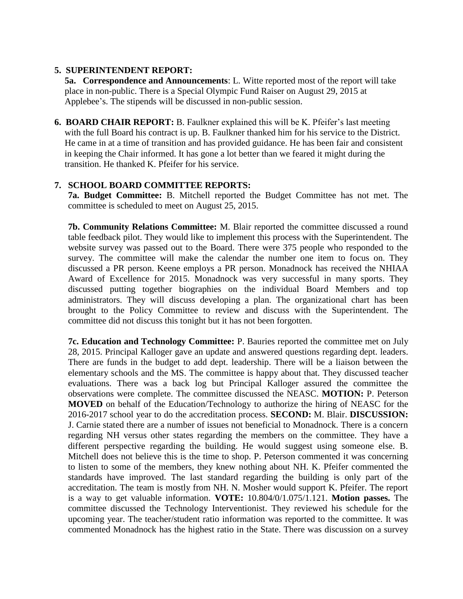#### **5. SUPERINTENDENT REPORT:**

**5a. Correspondence and Announcements**: L. Witte reported most of the report will take place in non-public. There is a Special Olympic Fund Raiser on August 29, 2015 at Applebee's. The stipends will be discussed in non-public session.

**6. BOARD CHAIR REPORT:** B. Faulkner explained this will be K. Pfeifer's last meeting with the full Board his contract is up. B. Faulkner thanked him for his service to the District. He came in at a time of transition and has provided guidance. He has been fair and consistent in keeping the Chair informed. It has gone a lot better than we feared it might during the transition. He thanked K. Pfeifer for his service.

## **7. SCHOOL BOARD COMMITTEE REPORTS:**

**7a. Budget Committee:** B. Mitchell reported the Budget Committee has not met. The committee is scheduled to meet on August 25, 2015.

**7b. Community Relations Committee:** M. Blair reported the committee discussed a round table feedback pilot. They would like to implement this process with the Superintendent. The website survey was passed out to the Board. There were 375 people who responded to the survey. The committee will make the calendar the number one item to focus on. They discussed a PR person. Keene employs a PR person. Monadnock has received the NHIAA Award of Excellence for 2015. Monadnock was very successful in many sports. They discussed putting together biographies on the individual Board Members and top administrators. They will discuss developing a plan. The organizational chart has been brought to the Policy Committee to review and discuss with the Superintendent. The committee did not discuss this tonight but it has not been forgotten.

 **7c. Education and Technology Committee:** P. Bauries reported the committee met on July 28, 2015. Principal Kalloger gave an update and answered questions regarding dept. leaders. There are funds in the budget to add dept. leadership. There will be a liaison between the elementary schools and the MS. The committee is happy about that. They discussed teacher evaluations. There was a back log but Principal Kalloger assured the committee the observations were complete. The committee discussed the NEASC. **MOTION:** P. Peterson **MOVED** on behalf of the Education/Technology to authorize the hiring of NEASC for the 2016-2017 school year to do the accreditation process. **SECOND:** M. Blair. **DISCUSSION:**  J. Carnie stated there are a number of issues not beneficial to Monadnock. There is a concern regarding NH versus other states regarding the members on the committee. They have a different perspective regarding the building. He would suggest using someone else. B. Mitchell does not believe this is the time to shop. P. Peterson commented it was concerning to listen to some of the members, they knew nothing about NH. K. Pfeifer commented the standards have improved. The last standard regarding the building is only part of the accreditation. The team is mostly from NH. N. Mosher would support K. Pfeifer. The report is a way to get valuable information. **VOTE:** 10.804/0/1.075/1.121. **Motion passes.** The committee discussed the Technology Interventionist. They reviewed his schedule for the upcoming year. The teacher/student ratio information was reported to the committee. It was commented Monadnock has the highest ratio in the State. There was discussion on a survey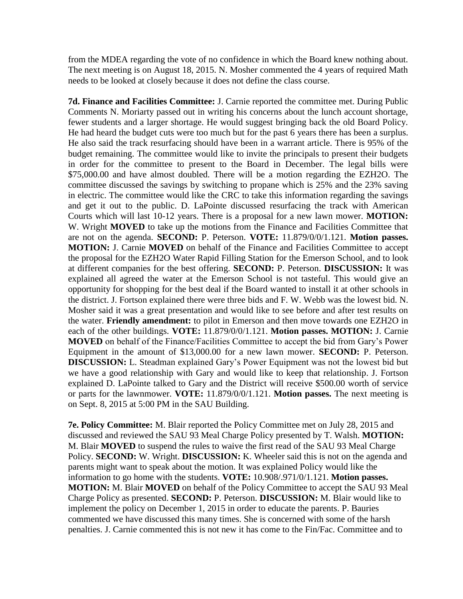from the MDEA regarding the vote of no confidence in which the Board knew nothing about. The next meeting is on August 18, 2015. N. Mosher commented the 4 years of required Math needs to be looked at closely because it does not define the class course.

 **7d. Finance and Facilities Committee:** J. Carnie reported the committee met. During Public Comments N. Moriarty passed out in writing his concerns about the lunch account shortage, fewer students and a larger shortage. He would suggest bringing back the old Board Policy. He had heard the budget cuts were too much but for the past 6 years there has been a surplus. He also said the track resurfacing should have been in a warrant article. There is 95% of the budget remaining. The committee would like to invite the principals to present their budgets in order for the committee to present to the Board in December. The legal bills were \$75,000.00 and have almost doubled. There will be a motion regarding the EZH2O. The committee discussed the savings by switching to propane which is 25% and the 23% saving in electric. The committee would like the CRC to take this information regarding the savings and get it out to the public. D. LaPointe discussed resurfacing the track with American Courts which will last 10-12 years. There is a proposal for a new lawn mower. **MOTION:**  W. Wright **MOVED** to take up the motions from the Finance and Facilities Committee that are not on the agenda. **SECOND:** P. Peterson. **VOTE:** 11.879/0/0/1.121. **Motion passes. MOTION:** J. Carnie **MOVED** on behalf of the Finance and Facilities Committee to accept the proposal for the EZH2O Water Rapid Filling Station for the Emerson School, and to look at different companies for the best offering. **SECOND:** P. Peterson. **DISCUSSION:** It was explained all agreed the water at the Emerson School is not tasteful. This would give an opportunity for shopping for the best deal if the Board wanted to install it at other schools in the district. J. Fortson explained there were three bids and F. W. Webb was the lowest bid. N. Mosher said it was a great presentation and would like to see before and after test results on the water. **Friendly amendment:** to pilot in Emerson and then move towards one EZH2O in each of the other buildings. **VOTE:** 11.879/0/0/1.121. **Motion passes. MOTION:** J. Carnie **MOVED** on behalf of the Finance/Facilities Committee to accept the bid from Gary's Power Equipment in the amount of \$13,000.00 for a new lawn mower. **SECOND:** P. Peterson. **DISCUSSION:** L. Steadman explained Gary's Power Equipment was not the lowest bid but we have a good relationship with Gary and would like to keep that relationship. J. Fortson explained D. LaPointe talked to Gary and the District will receive \$500.00 worth of service or parts for the lawnmower. **VOTE:** 11.879/0/0/1.121. **Motion passes.** The next meeting is on Sept. 8, 2015 at 5:00 PM in the SAU Building.

**7e. Policy Committee:** M. Blair reported the Policy Committee met on July 28, 2015 and discussed and reviewed the SAU 93 Meal Charge Policy presented by T. Walsh. **MOTION:**  M. Blair **MOVED** to suspend the rules to waive the first read of the SAU 93 Meal Charge Policy. **SECOND:** W. Wright. **DISCUSSION:** K. Wheeler said this is not on the agenda and parents might want to speak about the motion. It was explained Policy would like the information to go home with the students. **VOTE:** 10.908/.971/0/1.121. **Motion passes. MOTION:** M. Blair **MOVED** on behalf of the Policy Committee to accept the SAU 93 Meal Charge Policy as presented. **SECOND:** P. Peterson. **DISCUSSION:** M. Blair would like to implement the policy on December 1, 2015 in order to educate the parents. P. Bauries commented we have discussed this many times. She is concerned with some of the harsh penalties. J. Carnie commented this is not new it has come to the Fin/Fac. Committee and to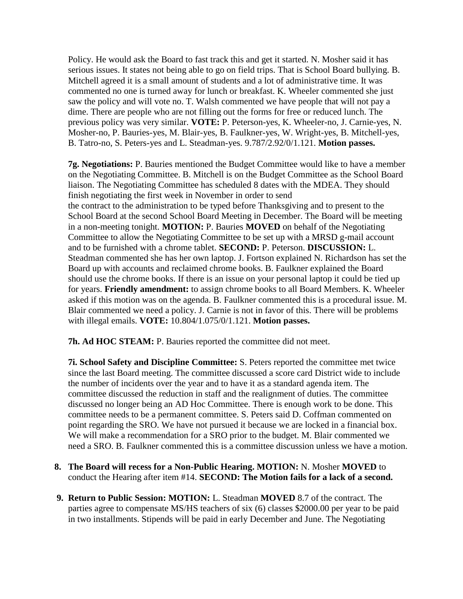Policy. He would ask the Board to fast track this and get it started. N. Mosher said it has serious issues. It states not being able to go on field trips. That is School Board bullying. B. Mitchell agreed it is a small amount of students and a lot of administrative time. It was commented no one is turned away for lunch or breakfast. K. Wheeler commented she just saw the policy and will vote no. T. Walsh commented we have people that will not pay a dime. There are people who are not filling out the forms for free or reduced lunch. The previous policy was very similar. **VOTE:** P. Peterson-yes, K. Wheeler-no, J. Carnie-yes, N. Mosher-no, P. Bauries-yes, M. Blair-yes, B. Faulkner-yes, W. Wright-yes, B. Mitchell-yes, B. Tatro-no, S. Peters-yes and L. Steadman-yes. 9.787/2.92/0/1.121. **Motion passes.** 

**7g. Negotiations:** P. Bauries mentioned the Budget Committee would like to have a member on the Negotiating Committee. B. Mitchell is on the Budget Committee as the School Board liaison. The Negotiating Committee has scheduled 8 dates with the MDEA. They should finish negotiating the first week in November in order to send the contract to the administration to be typed before Thanksgiving and to present to the School Board at the second School Board Meeting in December. The Board will be meeting in a non-meeting tonight. **MOTION:** P. Bauries **MOVED** on behalf of the Negotiating Committee to allow the Negotiating Committee to be set up with a MRSD g-mail account and to be furnished with a chrome tablet. **SECOND:** P. Peterson. **DISCUSSION:** L. Steadman commented she has her own laptop. J. Fortson explained N. Richardson has set the Board up with accounts and reclaimed chrome books. B. Faulkner explained the Board should use the chrome books. If there is an issue on your personal laptop it could be tied up for years. **Friendly amendment:** to assign chrome books to all Board Members. K. Wheeler asked if this motion was on the agenda. B. Faulkner commented this is a procedural issue. M. Blair commented we need a policy. J. Carnie is not in favor of this. There will be problems with illegal emails. **VOTE:** 10.804/1.075/0/1.121. **Motion passes.** 

**7h. Ad HOC STEAM:** P. Bauries reported the committee did not meet.

**7i. School Safety and Discipline Committee:** S. Peters reported the committee met twice since the last Board meeting. The committee discussed a score card District wide to include the number of incidents over the year and to have it as a standard agenda item. The committee discussed the reduction in staff and the realignment of duties. The committee discussed no longer being an AD Hoc Committee. There is enough work to be done. This committee needs to be a permanent committee. S. Peters said D. Coffman commented on point regarding the SRO. We have not pursued it because we are locked in a financial box. We will make a recommendation for a SRO prior to the budget. M. Blair commented we need a SRO. B. Faulkner commented this is a committee discussion unless we have a motion.

- **8. The Board will recess for a Non-Public Hearing. MOTION:** N. Mosher **MOVED** to conduct the Hearing after item #14. **SECOND: The Motion fails for a lack of a second.**
- **9. Return to Public Session: MOTION:** L. Steadman **MOVED** 8.7 of the contract. The parties agree to compensate MS/HS teachers of six (6) classes \$2000.00 per year to be paid in two installments. Stipends will be paid in early December and June. The Negotiating